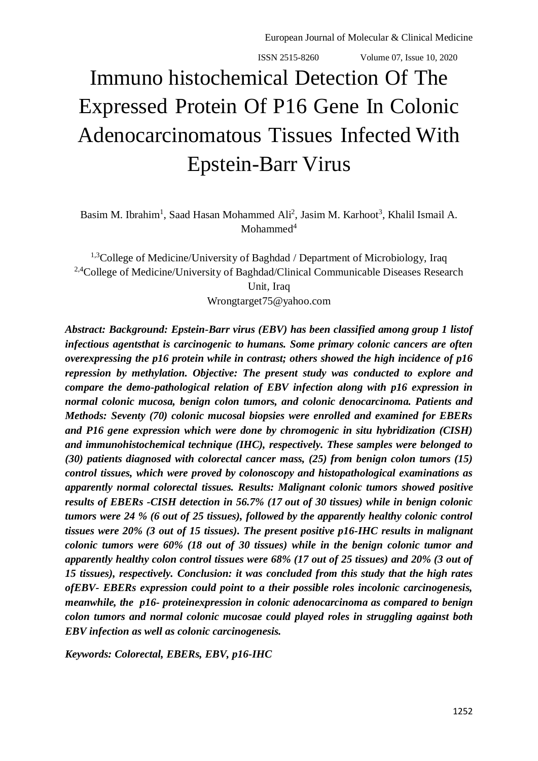# Immuno histochemical Detection Of The Expressed Protein Of P16 Gene In Colonic Adenocarcinomatous Tissues Infected With Epstein-Barr Virus

Basim M. Ibrahim<sup>1</sup>, Saad Hasan Mohammed Ali<sup>2</sup>, Jasim M. Karhoot<sup>3</sup>, Khalil Ismail A.  $M$ ohammed $4$ 

<sup>1,3</sup>College of Medicine/University of Baghdad / Department of Microbiology, Iraq <sup>2,4</sup>College of Medicine/University of Baghdad/Clinical Communicable Diseases Research Unit, Iraq [Wrongtarget75@yahoo.com](mailto:Wrongtarget75@yahoo.com)

*Abstract: Background: Epstein-Barr virus (EBV) has been classified among group 1 listof infectious agentsthat is carcinogenic to humans. Some primary colonic cancers are often overexpressing the p16 protein while in contrast; others showed the high incidence of p16 repression by methylation. Objective: The present study was conducted to explore and compare the demo-pathological relation of EBV infection along with p16 expression in normal colonic mucosa, benign colon tumors, and colonic denocarcinoma. Patients and Methods: Seventy (70) colonic mucosal biopsies were enrolled and examined for EBERs and P16 gene expression which were done by chromogenic in situ hybridization (CISH) and immunohistochemical technique (IHC), respectively. These samples were belonged to (30) patients diagnosed with colorectal cancer mass, (25) from benign colon tumors (15) control tissues, which were proved by colonoscopy and histopathological examinations as apparently normal colorectal tissues. Results: Malignant colonic tumors showed positive results of EBERs -CISH detection in 56.7% (17 out of 30 tissues) while in benign colonic tumors were 24 % (6 out of 25 tissues), followed by the apparently healthy colonic control tissues were 20% (3 out of 15 tissues). The present positive p16-IHC results in malignant colonic tumors were 60% (18 out of 30 tissues) while in the benign colonic tumor and apparently healthy colon control tissues were 68% (17 out of 25 tissues) and 20% (3 out of 15 tissues), respectively. Conclusion: it was concluded from this study that the high rates ofEBV- EBERs expression could point to a their possible roles incolonic carcinogenesis, meanwhile, the p16- proteinexpression in colonic adenocarcinoma as compared to benign colon tumors and normal colonic mucosae could played roles in struggling against both EBV infection as well as colonic carcinogenesis.*

*Keywords: Colorectal, EBERs, EBV, p16-IHC*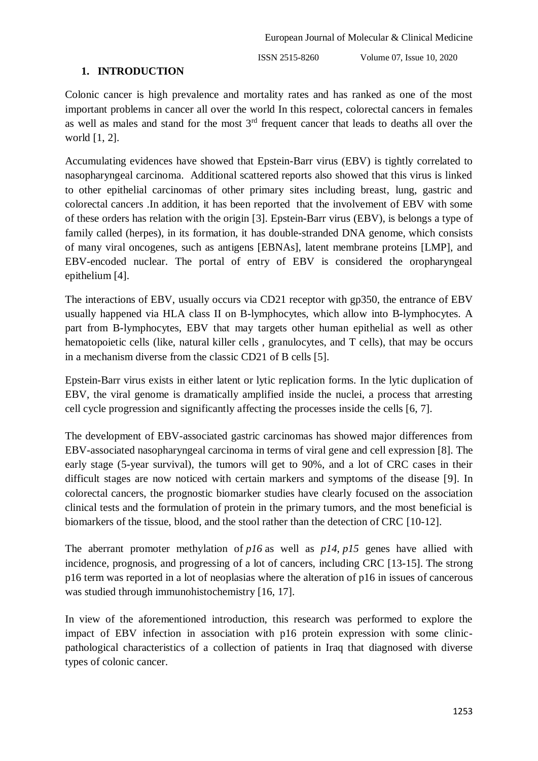## **1. INTRODUCTION**

Colonic cancer is high prevalence and mortality rates and has ranked as one of the most important problems in cancer all over the world In this respect, colorectal cancers in females as well as males and stand for the most 3rd frequent cancer that leads to deaths all over the world [1, 2].

Accumulating evidences have showed that Epstein-Barr virus (EBV) is tightly correlated to nasopharyngeal carcinoma. Additional scattered reports also showed that this virus is linked to other epithelial carcinomas of other primary sites including breast, lung, gastric and colorectal cancers .In addition, it has been reported that the involvement of EBV with some of these orders has relation with the origin [3]. Epstein-Barr virus (EBV), is belongs a type of family called (herpes), in its formation, it has double-stranded DNA genome, which consists of many viral oncogenes, such as antigens [EBNAs], latent membrane proteins [LMP], and EBV-encoded nuclear. The portal of entry of EBV is considered the oropharyngeal epithelium [4].

The interactions of EBV, usually occurs via CD21 receptor with gp350, the entrance of EBV usually happened via HLA class II on B-lymphocytes, which allow into B-lymphocytes. A part from B-lymphocytes, EBV that may targets other human epithelial as well as other hematopoietic cells (like, natural killer cells , granulocytes, and T cells), that may be occurs in a mechanism diverse from the classic CD21 of B cells [5].

Epstein-Barr virus exists in either latent or lytic replication forms. In the lytic duplication of EBV, the viral genome is dramatically amplified inside the nuclei, a process that arresting cell cycle progression and significantly affecting the processes inside the cells [6, 7].

The development of EBV-associated gastric carcinomas has showed major differences from EBV-associated nasopharyngeal carcinoma in terms of viral gene and cell expression [8]. The early stage (5-year survival), the tumors will get to 90%, and a lot of CRC cases in their difficult stages are now noticed with certain markers and symptoms of the disease [9]. In colorectal cancers, the prognostic biomarker studies have clearly focused on the association clinical tests and the formulation of protein in the primary tumors, and the most beneficial is biomarkers of the tissue, blood, and the stool rather than the detection of CRC [10-12].

The aberrant promoter methylation of *p16* as well as *p14*, *p15* genes have allied with incidence, prognosis, and progressing of a lot of cancers, including CRC [13-15]. The strong p16 term was reported in a lot of neoplasias where the alteration of p16 in issues of cancerous was studied through immunohistochemistry [16, 17].

In view of the aforementioned introduction, this research was performed to explore the impact of EBV infection in association with p16 protein expression with some clinicpathological characteristics of a collection of patients in Iraq that diagnosed with diverse types of colonic cancer.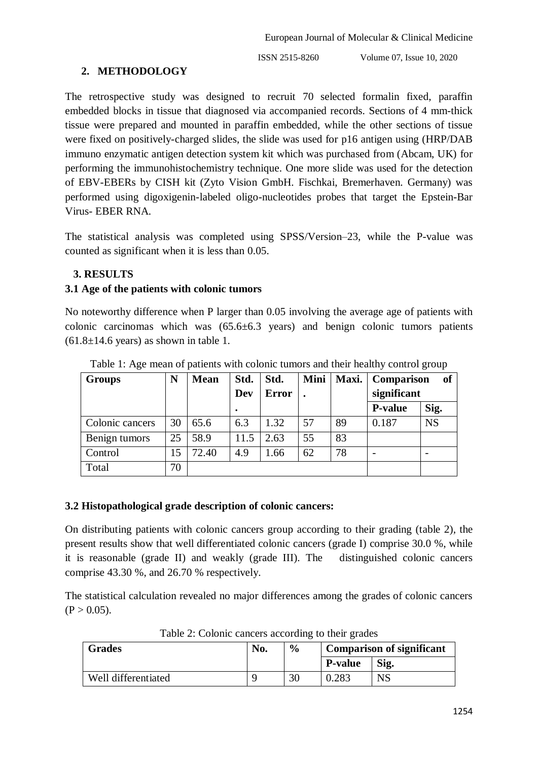## **2. METHODOLOGY**

The retrospective study was designed to recruit 70 selected formalin fixed, paraffin embedded blocks in tissue that diagnosed via accompanied records. Sections of 4 mm-thick tissue were prepared and mounted in paraffin embedded, while the other sections of tissue were fixed on positively-charged slides, the slide was used for p16 antigen using (HRP/DAB immuno enzymatic antigen detection system kit which was purchased from (Abcam, UK) for performing the immunohistochemistry technique. One more slide was used for the detection of EBV-EBERs by CISH kit (Zyto Vision GmbH. Fischkai, Bremerhaven. Germany) was performed using digoxigenin-labeled oligo-nucleotides probes that target the Epstein-Bar Virus- EBER RNA.

The statistical analysis was completed using SPSS/Version–23, while the P-value was counted as significant when it is less than 0.05.

## **3. RESULTS**

## **3.1 Age of the patients with colonic tumors**

No noteworthy difference when P larger than 0.05 involving the average age of patients with colonic carcinomas which was  $(65.6\pm6.3 \text{ years})$  and benign colonic tumors patients  $(61.8\pm14.6 \text{ years})$  as shown in table 1.

| <b>Groups</b>   | N  | <b>Mean</b> | Std.       | Std.         | Mini | Maxi. | of<br>Comparison |           |
|-----------------|----|-------------|------------|--------------|------|-------|------------------|-----------|
|                 |    |             | <b>Dev</b> | <b>Error</b> |      |       | significant      |           |
|                 |    |             | $\bullet$  |              |      |       | <b>P-value</b>   | Sig.      |
| Colonic cancers | 30 | 65.6        | 6.3        | 1.32         | 57   | 89    | 0.187            | <b>NS</b> |
| Benign tumors   | 25 | 58.9        | 11.5       | 2.63         | 55   | 83    |                  |           |
| Control         | 15 | 72.40       | 4.9        | 1.66         | 62   | 78    |                  |           |
| Total           | 70 |             |            |              |      |       |                  |           |

Table 1: Age mean of patients with colonic tumors and their healthy control group

#### **3.2 Histopathological grade description of colonic cancers:**

On distributing patients with colonic cancers group according to their grading (table 2), the present results show that well differentiated colonic cancers (grade I) comprise 30.0 %, while it is reasonable (grade II) and weakly (grade III). The distinguished colonic cancers comprise 43.30 %, and 26.70 % respectively.

The statistical calculation revealed no major differences among the grades of colonic cancers  $(P > 0.05)$ .

| <b>Grades</b>       | No. | $\frac{6}{9}$ | <b>Comparison of significant</b> |      |  |
|---------------------|-----|---------------|----------------------------------|------|--|
|                     |     |               | <b>P-value</b>                   | Sig. |  |
| Well differentiated |     | 30            | 0.283                            | NS   |  |

Table 2: Colonic cancers according to their grades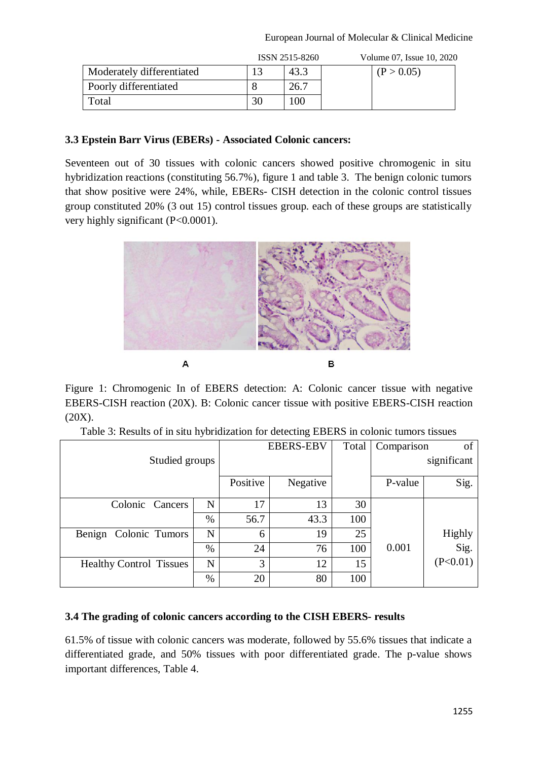|                           |    | ISSN 2515-8260 | Volume 07, Issue 10, 2020 |
|---------------------------|----|----------------|---------------------------|
| Moderately differentiated |    | 43.3           | (P > 0.05)                |
| Poorly differentiated     |    | 26.7           |                           |
| Total                     | 30 | 100            |                           |

#### **3.3 Epstein Barr Virus (EBERs) - Associated Colonic cancers:**

Seventeen out of 30 tissues with colonic cancers showed positive chromogenic in situ hybridization reactions (constituting 56.7%), figure 1 and table 3. The benign colonic tumors that show positive were 24%, while, EBERs- CISH detection in the colonic control tissues group constituted 20% (3 out 15) control tissues group. each of these groups are statistically very highly significant (P<0.0001).



Figure 1: Chromogenic In of EBERS detection: A: Colonic cancer tissue with negative EBERS-CISH reaction (20X). B: Colonic cancer tissue with positive EBERS-CISH reaction (20X).

|  |  | Table 3: Results of in situ hybridization for detecting EBERS in colonic tumors tissues |  |  |  |  |
|--|--|-----------------------------------------------------------------------------------------|--|--|--|--|
|  |  |                                                                                         |  |  |  |  |

|                                |      |          | <b>EBERS-EBV</b> | Total | Comparison  | of       |
|--------------------------------|------|----------|------------------|-------|-------------|----------|
| Studied groups                 |      |          |                  |       | significant |          |
|                                |      | Positive | Negative         |       | P-value     | Sig.     |
| Colonic<br>Cancers             | N    | 17       | 13               | 30    |             |          |
|                                | $\%$ | 56.7     | 43.3             | 100   |             |          |
| Benign Colonic Tumors          | N    | 6        | 19               | 25    |             | Highly   |
|                                | $\%$ | 24       | 76               | 100   | 0.001       | Sig.     |
| <b>Healthy Control Tissues</b> | N    | 3        | 12               | 15    |             | (P<0.01) |
|                                | %    | 20       | 80               | 100   |             |          |

# **3.4 The grading of colonic cancers according to the CISH EBERS- results**

61.5% of tissue with colonic cancers was moderate, followed by 55.6% tissues that indicate a differentiated grade, and 50% tissues with poor differentiated grade. The p-value shows important differences, Table 4.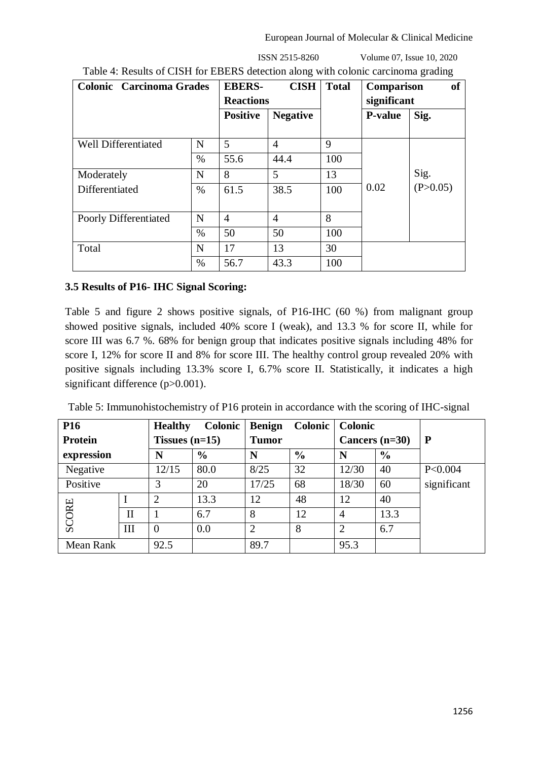ISSN 2515-8260 Volume 07, Issue 10, 2020

| <b>Colonic Carcinoma Grades</b> |      | <b>EBERS-</b><br><b>Reactions</b> | <b>CISH</b>     | <b>Total</b> | <b>of</b><br><b>Comparison</b><br>significant |          |
|---------------------------------|------|-----------------------------------|-----------------|--------------|-----------------------------------------------|----------|
|                                 |      | <b>Positive</b>                   | <b>Negative</b> |              | <b>P-value</b>                                | Sig.     |
| <b>Well Differentiated</b>      | N    | 5                                 | $\overline{4}$  | 9            |                                               |          |
|                                 | $\%$ | 55.6                              | 44.4            | 100          |                                               |          |
| Moderately                      | N    | 8                                 | 5               | 13           |                                               | Sig.     |
| Differentiated                  | $\%$ | 61.5                              | 38.5            | 100          | 0.02                                          | (P>0.05) |
| Poorly Differentiated           | N    | $\overline{4}$                    | $\overline{4}$  | 8            |                                               |          |
|                                 | %    | 50                                | 50              | 100          |                                               |          |
| Total                           | N    | 17                                | 13              | 30           |                                               |          |
|                                 | $\%$ | 56.7                              | 43.3            | 100          |                                               |          |

Table 4: Results of CISH for EBERS detection along with colonic carcinoma grading

#### **3.5 Results of P16- IHC Signal Scoring:**

Table 5 and figure 2 shows positive signals, of P16-IHC (60 %) from malignant group showed positive signals, included 40% score I (weak), and 13.3 % for score II, while for score III was 6.7 %. 68% for benign group that indicates positive signals including 48% for score I, 12% for score II and 8% for score III. The healthy control group revealed 20% with positive signals including 13.3% score I, 6.7% score II. Statistically, it indicates a high significant difference (p>0.001).

| <b>P16</b>     |              | <b>Healthy</b>   | Colonic       | <b>Benign</b>  | Colonic       | <b>Colonic</b>              |                  |              |
|----------------|--------------|------------------|---------------|----------------|---------------|-----------------------------|------------------|--------------|
| <b>Protein</b> |              | Tissues $(n=15)$ |               | <b>Tumor</b>   |               |                             | Cancers $(n=30)$ | $\mathbf{P}$ |
| expression     |              | N                | $\frac{6}{6}$ | N              | $\frac{6}{9}$ | N                           | $\frac{6}{6}$    |              |
| Negative       |              | 12/15            | 80.0          | 8/25           | 32            | 12/30                       | 40               | P<0.004      |
| Positive       |              | 3                | 20            | 17/25          | 68            | 18/30                       | 60               | significant  |
|                |              | 2                | 13.3          | 12             | 48            | 12                          | 40               |              |
| <b>SCORE</b>   | $\mathbf{I}$ |                  | 6.7           | 8              | 12            | $\overline{4}$              | 13.3             |              |
|                | Ш            | $\Omega$         | 0.0           | $\overline{2}$ | 8             | $\mathcal{D}_{\mathcal{L}}$ | 6.7              |              |
| Mean Rank      |              | 92.5             |               | 89.7           |               | 95.3                        |                  |              |

Table 5: Immunohistochemistry of P16 protein in accordance with the scoring of IHC-signal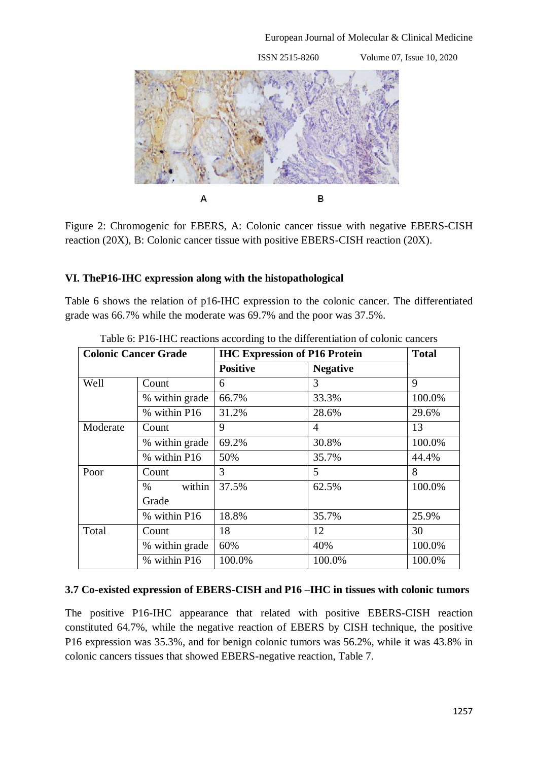

Figure 2: Chromogenic for EBERS, A: Colonic cancer tissue with negative EBERS-CISH reaction (20X), B: Colonic cancer tissue with positive EBERS-CISH reaction (20X).

#### **VI. TheP16-IHC expression along with the histopathological**

Table 6 shows the relation of p16-IHC expression to the colonic cancer. The differentiated grade was 66.7% while the moderate was 69.7% and the poor was 37.5%.

| <b>Colonic Cancer Grade</b> |                | <b>IHC Expression of P16 Protein</b> |                 | <b>Total</b> |
|-----------------------------|----------------|--------------------------------------|-----------------|--------------|
|                             |                | <b>Positive</b>                      | <b>Negative</b> |              |
| Well                        | Count          | 6                                    | 3               | 9            |
|                             | % within grade | 66.7%                                | 33.3%           | 100.0%       |
|                             | % within P16   | 31.2%                                | 28.6%           | 29.6%        |
| Moderate                    | Count          | 9                                    | 4               | 13           |
|                             | % within grade | 69.2%                                | 30.8%           | 100.0%       |
|                             | % within P16   | 50%                                  | 35.7%           | 44.4%        |
| Poor                        | Count          | 3                                    | 5               | 8            |
|                             | within<br>%    | 37.5%                                | 62.5%           | 100.0%       |
|                             | Grade          |                                      |                 |              |
|                             | % within P16   | 18.8%                                | 35.7%           | 25.9%        |
| Total                       | Count          | 18                                   | 12              | 30           |
|                             | % within grade | 60%                                  | 40%             | 100.0%       |
|                             | % within P16   | 100.0%                               | 100.0%          | 100.0%       |

Table 6: P16-IHC reactions according to the differentiation of colonic cancers

# **3.7 Co-existed expression of EBERS-CISH and P16 –IHC in tissues with colonic tumors**

The positive P16-IHC appearance that related with positive EBERS-CISH reaction constituted 64.7%, while the negative reaction of EBERS by CISH technique, the positive P16 expression was 35.3%, and for benign colonic tumors was 56.2%, while it was 43.8% in colonic cancers tissues that showed EBERS-negative reaction, Table 7.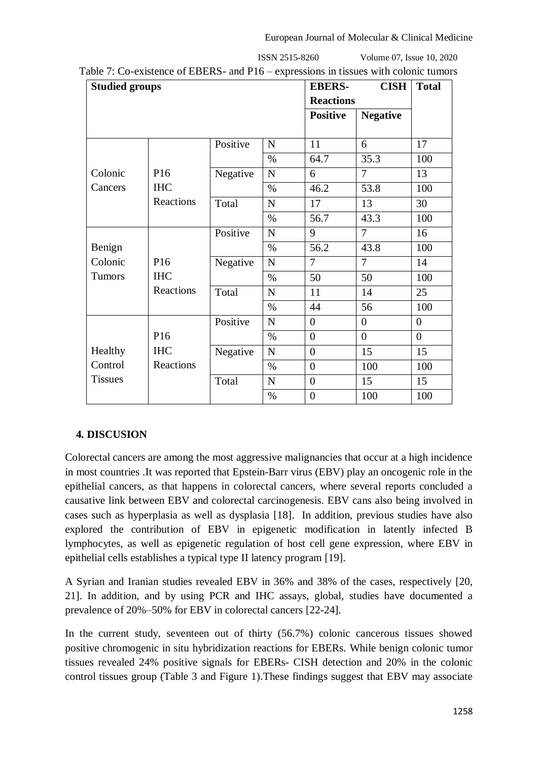| <b>Studied groups</b> |                 |          | <b>EBERS-</b> | <b>CISH</b>      |                 |                |
|-----------------------|-----------------|----------|---------------|------------------|-----------------|----------------|
|                       |                 |          |               | <b>Reactions</b> |                 |                |
|                       |                 |          |               | <b>Positive</b>  | <b>Negative</b> |                |
|                       |                 |          |               |                  |                 |                |
|                       |                 | Positive | $\mathbf N$   | 11               | 6               | 17             |
|                       |                 |          | $\%$          | 64.7             | 35.3            | 100            |
| Colonic               | P <sub>16</sub> | Negative | $\mathbf N$   | 6                | $\overline{7}$  | 13             |
| Cancers               | <b>IHC</b>      |          | $\%$          | 46.2             | 53.8            | 100            |
|                       | Reactions       | Total    | $\mathbf N$   | 17               | 13              | 30             |
|                       |                 |          | $\%$          | 56.7             | 43.3            | 100            |
|                       |                 | Positive | $\mathbf N$   | 9                | $\overline{7}$  | 16             |
| Benign                |                 |          | $\%$          | 56.2             | 43.8            | 100            |
| Colonic               | P <sub>16</sub> | Negative | N             | 7                | $\overline{7}$  | 14             |
| Tumors                | <b>IHC</b>      |          | $\%$          | 50               | 50              | 100            |
|                       | Reactions       | Total    | $\mathbf N$   | 11               | 14              | 25             |
|                       |                 |          | $\%$          | 44               | 56              | 100            |
|                       |                 | Positive | $\mathbf N$   | $\overline{0}$   | $\overline{0}$  | $\overline{0}$ |
|                       | P16             |          | $\%$          | $\overline{0}$   | $\overline{0}$  | $\overline{0}$ |
| Healthy               | <b>IHC</b>      | Negative | N             | $\overline{0}$   | 15              | 15             |
| Control               | Reactions       |          | $\%$          | $\overline{0}$   | 100             | 100            |
| <b>Tissues</b>        |                 | Total    | $\mathbf N$   | $\overline{0}$   | 15              | 15             |
|                       |                 |          | $\%$          | $\overline{0}$   | 100             | 100            |

 ISSN 2515-8260 Volume 07, Issue 10, 2020 Table 7: Co-existence of EBERS- and P16 – expressions in tissues with colonic tumors

# **4. DISCUSION**

Colorectal cancers are among the most aggressive malignancies that occur at a high incidence in most countries .It was reported that Epstein-Barr virus (EBV) play an oncogenic role in the epithelial cancers, as that happens in colorectal cancers, where several reports concluded a causative link between EBV and colorectal carcinogenesis. EBV cans also being involved in cases such as hyperplasia as well as dysplasia [18]. In addition, previous studies have also explored the contribution of EBV in epigenetic modification in latently infected B lymphocytes, as well as epigenetic regulation of host cell gene expression, where EBV in epithelial cells establishes a typical type II latency program [19].

A Syrian and Iranian studies revealed EBV in 36% and 38% of the cases, respectively [20, 21]. In addition, and by using PCR and IHC assays, global, studies have documented a prevalence of 20%–50% for EBV in colorectal cancers [22-24].

In the current study, seventeen out of thirty (56.7%) colonic cancerous tissues showed positive chromogenic in situ hybridization reactions for EBERs. While benign colonic tumor tissues revealed 24% positive signals for EBERs- CISH detection and 20% in the colonic control tissues group (Table 3 and Figure 1).These findings suggest that EBV may associate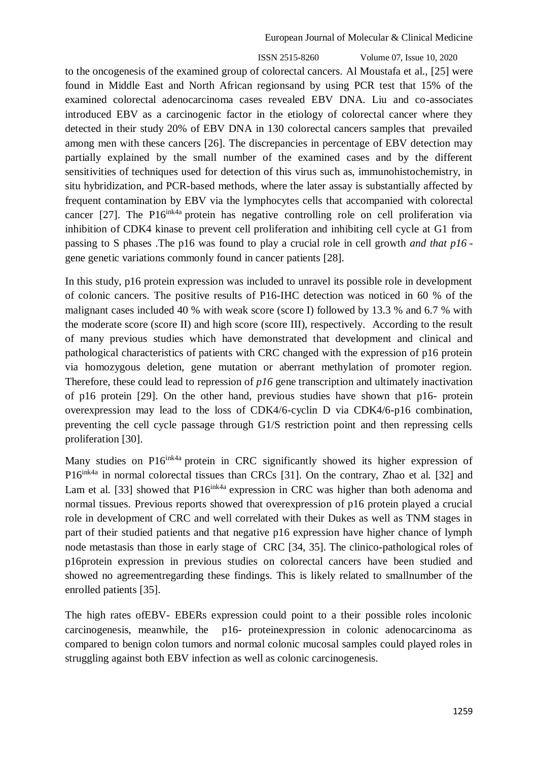ISSN 2515-8260 Volume 07, Issue 10, 2020 to the oncogenesis of the examined group of colorectal cancers. Al Moustafa et al., [25] were found in Middle East and North African regionsand by using PCR test that 15% of the examined colorectal adenocarcinoma cases revealed EBV DNA. Liu and co-associates introduced EBV as a carcinogenic factor in the etiology of colorectal cancer where they detected in their study 20% of EBV DNA in 130 colorectal cancers samples that prevailed among men with these cancers [26]. The discrepancies in percentage of EBV detection may partially explained by the small number of the examined cases and by the different sensitivities of techniques used for detection of this virus such as, immunohistochemistry, in situ hybridization, and PCR-based methods, where the later assay is substantially affected by frequent contamination by EBV via the lymphocytes cells that accompanied with colorectal cancer  $[27]$ . The P16<sup>ink4a</sup> protein has negative controlling role on cell proliferation via inhibition of CDK4 kinase to prevent cell proliferation and inhibiting cell cycle at G1 from passing to S phases .The p16 was found to play a crucial role in cell growth *and that p16* gene genetic variations commonly found in cancer patients [28].

In this study, p16 protein expression was included to unravel its possible role in development of colonic cancers. The positive results of P16-IHC detection was noticed in 60 % of the malignant cases included 40 % with weak score (score I) followed by 13.3 % and 6.7 % with the moderate score (score II) and high score (score III), respectively. According to the result of many previous studies which have demonstrated that development and clinical and pathological characteristics of patients with CRC changed with the expression of p16 protein via homozygous deletion, gene mutation or aberrant methylation of promoter region. Therefore, these could lead to repression of *p16* gene transcription and ultimately inactivation of p16 protein [29]. On the other hand, previous studies have shown that p16- protein overexpression may lead to the loss of CDK4/6-cyclin D via CDK4/6-p16 combination, preventing the cell cycle passage through G1/S restriction point and then repressing cells proliferation [30].

Many studies on P16<sup>ink4a</sup> protein in CRC significantly showed its higher expression of P16<sup>ink4a</sup> in normal colorectal tissues than CRCs [31]. On the contrary, Zhao et al. [32] and Lam et al. [33] showed that  $P16^{ink4a}$  expression in CRC was higher than both adenoma and normal tissues. Previous reports showed that overexpression of p16 protein played a crucial role in development of CRC and well correlated with their Dukes as well as TNM stages in part of their studied patients and that negative p16 expression have higher chance of lymph node metastasis than those in early stage of CRC [34, 35]. The clinico-pathological roles of p16protein expression in previous studies on colorectal cancers have been studied and showed no agreementregarding these findings. This is likely related to smallnumber of the enrolled patients [35].

The high rates ofEBV- EBERs expression could point to a their possible roles incolonic carcinogenesis, meanwhile, the p16- proteinexpression in colonic adenocarcinoma as compared to benign colon tumors and normal colonic mucosal samples could played roles in struggling against both EBV infection as well as colonic carcinogenesis.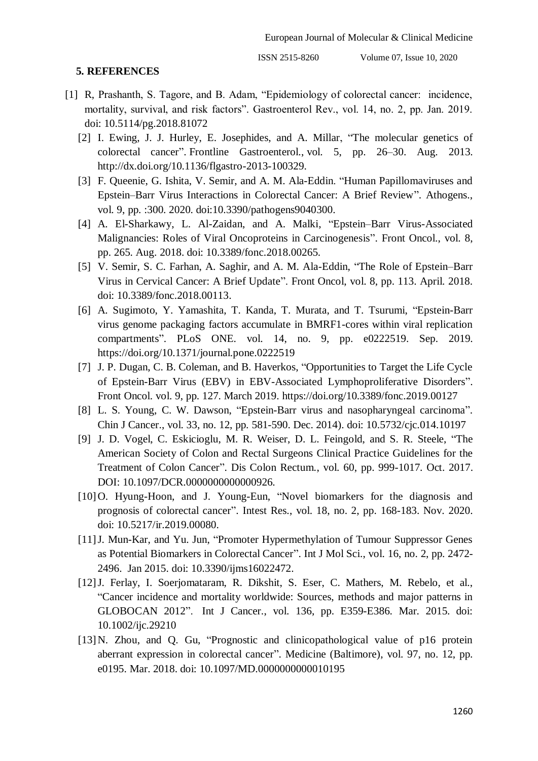#### **5. REFERENCES**

- [1] R, Prashanth, S. Tagore, and B. Adam, "Epidemiology of colorectal cancer: incidence, mortality, survival, and risk factors". Gastroenterol Rev., vol. 14, no. 2, pp. Jan. 2019. doi: 10.5114/pg.2018.81072
	- [2] I. Ewing, J. J. Hurley, E. Josephides, and A. Millar, "The molecular genetics of colorectal cancer". Frontline Gastroenterol., vol. 5, pp. 26–30. Aug. 2013. [http://dx.doi.org/10.1136/flgastro-2013-100329.](http://dx.doi.org/10.1136/flgastro-2013-100329)
	- [3] F. Queenie, G. Ishita, V. Semir, and A. M. Ala-Eddin. "Human Papillomaviruses and Epstein–Barr Virus Interactions in Colorectal Cancer: A Brief Review". Athogens., vol. 9, pp. :300. 2020. doi:10.3390/pathogens9040300.
	- [4] A. [El-Sharkawy,](https://www.ncbi.nlm.nih.gov/pubmed/?term=El-Sharkawy%20A%5BAuthor%5D&cauthor=true&cauthor_uid=30116721) L. [Al-Zaidan,](https://www.ncbi.nlm.nih.gov/pubmed/?term=Al%20Zaidan%20L%5BAuthor%5D&cauthor=true&cauthor_uid=30116721) and A. [Malki,](https://www.ncbi.nlm.nih.gov/pubmed/?term=Malki%20A%5BAuthor%5D&cauthor=true&cauthor_uid=30116721) "Epstein–Barr Virus-Associated Malignancies: Roles of Viral Oncoproteins in Carcinogenesis". [Front Oncol.](https://www.ncbi.nlm.nih.gov/pmc/articles/PMC6082928/), vol. 8, pp. 265. Aug. 2018. doi: 10.3389/fonc.2018.00265.
	- [5] V. Semir, S. C. Farhan, A. Saghir, and A. M. Ala-Eddin, "The Role of Epstein–Barr Virus in Cervical Cancer: A Brief Update". Front Oncol, vol. 8, pp. 113. April. 2018. doi: 10.3389/fonc.2018.00113.
	- [6] A. Sugimoto, Y. Yamashita, T. Kanda, T. Murata, and T. Tsurumi, "Epstein-Barr virus genome packaging factors accumulate in BMRF1-cores within viral replication compartments". PLoS ONE. vol. 14, no. 9, pp. e0222519. Sep. 2019. https://doi.org/10.1371/journal.pone.0222519
	- [7] J. P. Dugan, C. B. Coleman, and B. Haverkos, "Opportunities to Target the Life Cycle of Epstein-Barr Virus (EBV) in EBV-Associated Lymphoproliferative Disorders". Front Oncol. vol. 9, pp. 127. March 2019.<https://doi.org/10.3389/fonc.2019.00127>
	- [8] L. S. [Young,](https://www.ncbi.nlm.nih.gov/pubmed/?term=Young%20LS%5BAuthor%5D&cauthor=true&cauthor_uid=25418193) C. W. [Dawson,](https://www.ncbi.nlm.nih.gov/pubmed/?term=Dawson%20CW%5BAuthor%5D&cauthor=true&cauthor_uid=25418193) "Epstein-Barr virus and nasopharyngeal carcinoma". [Chin J Cancer.](https://www.ncbi.nlm.nih.gov/pmc/articles/PMC4308653/), vol. 33, no. 12, pp. 581-590. Dec. 2014). doi: [10.5732/cjc.014.10197](https://dx.doi.org/10.5732%2Fcjc.014.10197)
	- [9] J. D. Vogel, C. Eskicioglu, M. R. Weiser, D. L. Feingold, and S. R. Steele, "The American Society of Colon and Rectal Surgeons Clinical Practice Guidelines for the Treatment of Colon Cancer". Dis Colon Rectum., vol. 60, pp. 999-1017. Oct. 2017. DOI: 10.1097/DCR.0000000000000926.
	- [10]O. [Hyung-Hoon, and J](https://www.ncbi.nlm.nih.gov/pubmed/?term=Oh%20HH%5BAuthor%5D&cauthor=true&cauthor_uid=31766836). [Young-Eun, "](https://www.ncbi.nlm.nih.gov/pubmed/?term=Joo%20YE%5BAuthor%5D&cauthor=true&cauthor_uid=31766836)Novel biomarkers for the diagnosis and prognosis of colorectal cancer". [Intest Res.](https://www.ncbi.nlm.nih.gov/pmc/articles/PMC7206347/), vol. 18, no. 2, pp. 168-183. Nov. 2020. doi: 10.5217/ir.2019.00080.
	- [11] J. [Mun-Kar, and Y](https://www.ncbi.nlm.nih.gov/pubmed/?term=Ng%20JM%5BAuthor%5D&cauthor=true&cauthor_uid=25622259)u. [Jun, "](https://www.ncbi.nlm.nih.gov/pubmed/?term=Yu%20J%5BAuthor%5D&cauthor=true&cauthor_uid=25622259)Promoter Hypermethylation of Tumour Suppressor Genes as Potential Biomarkers in Colorectal Cancer". [Int J Mol Sci.](https://www.ncbi.nlm.nih.gov/pmc/articles/PMC4346847/), vol. 16, no. 2, pp. 2472- 2496. Jan 2015. doi: 10.3390/ijms16022472.
	- [12]J. Ferlay, I. Soerjomataram, R. Dikshit, S. Eser, C. Mathers, M. Rebelo, et al., "Cancer incidence and mortality worldwide: Sources, methods and major patterns in GLOBOCAN 2012". Int J Cancer., vol. 136, pp. E359-E386. Mar. 2015. doi: 10.1002/ijc.29210
	- [13] N. [Zhou,](https://www.ncbi.nlm.nih.gov/pubmed/?term=Zhou%20N%5BAuthor%5D&cauthor=true&cauthor_uid=29561443) and Q. [Gu,](https://www.ncbi.nlm.nih.gov/pubmed/?term=Gu%20Q%5BAuthor%5D&cauthor=true&cauthor_uid=29561443) "Prognostic and clinicopathological value of p16 protein aberrant expression in colorectal cancer". [Medicine \(Baltimore\),](https://www.ncbi.nlm.nih.gov/pmc/articles/PMC5895319/) vol. 97, no. 12, pp. e0195. Mar. 2018. doi: [10.1097/MD.0000000000010195](https://dx.doi.org/10.1097%2FMD.0000000000010195)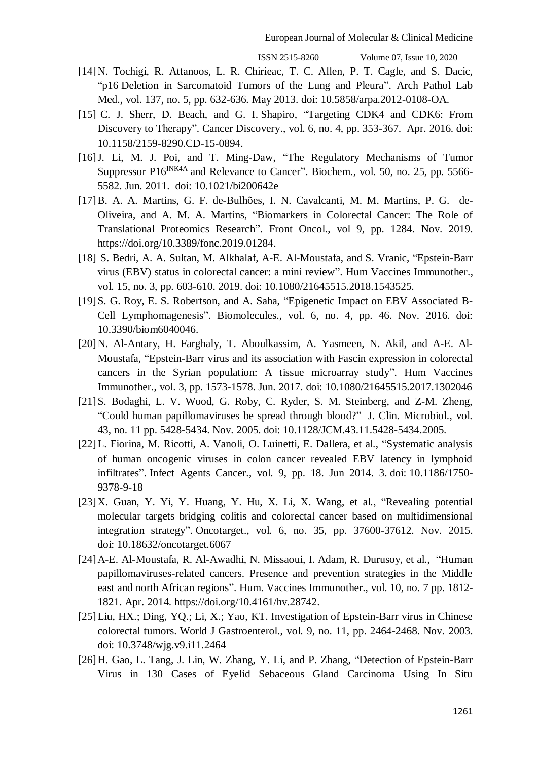- [14] N. Tochigi, R. Attanoos, L. R. Chirieac, T. C. Allen, P. T. Cagle, and S. Dacic, "p16 Deletion in Sarcomatoid Tumors of the Lung and Pleura". Arch Pathol Lab Med., vol. 137, no. 5, pp. 632-636. May 2013. doi: 10.5858/arpa.2012-0108-OA.
- [15] C. J. Sherr, D. Beach, and G. I. Shapiro, "Targeting CDK4 and CDK6: From Discovery to Therapy". Cancer Discovery., vol. 6, no. 4, pp. 353-367. Apr. 2016. doi: 10.1158/2159-8290.CD-15-0894.
- [16]J. [Li,](https://www.ncbi.nlm.nih.gov/pubmed/?term=Li%20J%5BAuthor%5D&cauthor=true&cauthor_uid=21619050) M. J. [Poi,](https://www.ncbi.nlm.nih.gov/pubmed/?term=Poi%20MJ%5BAuthor%5D&cauthor=true&cauthor_uid=21619050) and T. [Ming-Daw, "](https://www.ncbi.nlm.nih.gov/pubmed/?term=Tsai%20MD%5BAuthor%5D&cauthor=true&cauthor_uid=21619050)The Regulatory Mechanisms of Tumor Suppressor P16<sup>INK4A</sup> and Relevance to Cancer". [Biochem., vol. 50, no. 25, pp. 5566-](https://www.ncbi.nlm.nih.gov/entrez/eutils/elink.fcgi?dbfrom=pubmed&retmode=ref&cmd=prlinks&id=21619050) [5582. Jun. 2011.](https://www.ncbi.nlm.nih.gov/entrez/eutils/elink.fcgi?dbfrom=pubmed&retmode=ref&cmd=prlinks&id=21619050) doi: 10.1021/bi200642e
- [17]B. A. A. Martins, G. F. de-Bulhões, I. N. Cavalcanti, M. M. Martins, P. G. de-Oliveira, and A. M. A. Martins, "Biomarkers in Colorectal Cancer: The Role of Translational Proteomics Research". Front Oncol., vol 9, pp. 1284. Nov. 2019. [https://doi.org/10.3389/fonc.2019.01284.](https://doi.org/10.3389/fonc.2019.01284)
- [18] S. [Bedri,](https://www.ncbi.nlm.nih.gov/pubmed/?term=Bedri%20S%5BAuthor%5D&cauthor=true&cauthor_uid=30380978) A. A. [Sultan,](https://www.ncbi.nlm.nih.gov/pubmed/?term=Sultan%20AA%5BAuthor%5D&cauthor=true&cauthor_uid=30380978) M. [Alkhalaf,](https://www.ncbi.nlm.nih.gov/pubmed/?term=Alkhalaf%20M%5BAuthor%5D&cauthor=true&cauthor_uid=30380978) A-E. [Al-Moustafa,](https://www.ncbi.nlm.nih.gov/pubmed/?term=Al%20Moustafa%20AE%5BAuthor%5D&cauthor=true&cauthor_uid=30380978) and S. [Vranic,](https://www.ncbi.nlm.nih.gov/pubmed/?term=Vranic%20S%5BAuthor%5D&cauthor=true&cauthor_uid=30380978) "Epstein-Barr virus (EBV) status in colorectal cancer: a mini review". [Hum Vaccines Immunother.](https://www.ncbi.nlm.nih.gov/pmc/articles/PMC6605740/), vol. 15, no. 3, pp. 603-610. 2019. doi: [10.1080/21645515.2018.1543525.](https://dx.doi.org/10.1080%2F21645515.2018.1543525)
- [19] S. G. [Roy,](https://www.ncbi.nlm.nih.gov/pubmed/?term=Ghosh%20Roy%20S%5BAuthor%5D&cauthor=true&cauthor_uid=27886133) E. S. [Robertson,](https://www.ncbi.nlm.nih.gov/pubmed/?term=Robertson%20ES%5BAuthor%5D&cauthor=true&cauthor_uid=27886133) and A. [Saha,](https://www.ncbi.nlm.nih.gov/pubmed/?term=Saha%20A%5BAuthor%5D&cauthor=true&cauthor_uid=27886133) "Epigenetic Impact on EBV Associated B-Cell Lymphomagenesis". [Biomolecules.](https://www.ncbi.nlm.nih.gov/pmc/articles/PMC5197956/), vol. 6, no. 4, pp. 46. Nov. 2016. doi: 10.3390/biom6040046.
- [20]N. Al-Antary, H. Farghaly, T. Aboulkassim, A. Yasmeen, N. Akil, and A-E. Al-Moustafa, "Epstein-Barr virus and its association with Fascin expression in colorectal cancers in the Syrian population: A tissue microarray study". Hum Vaccines Immunother., vol. 3, pp. 1573-1578. Jun. 2017. doi: [10.1080/21645515.2017.1302046](https://dx.doi.org/10.1080%2F21645515.2017.1302046)
- [21]S. Bodaghi, L. V. Wood, G. Roby, C. Ryder, S. M. Steinberg, and Z-M. Zheng, "Could human papillomaviruses be spread through blood?" J. Clin. Microbiol., vol. 43, no. 11 pp. 5428-5434. Nov. 2005. doi: 10.1128/JCM.43.11.5428-5434.2005.
- [22]L. Fiorina, M. Ricotti, A. Vanoli, O. Luinetti, E. Dallera, et al., "Systematic analysis of human oncogenic viruses in colon cancer revealed EBV latency in lymphoid infiltrates". Infect Agents Cancer., vol. 9, pp. 18. Jun 2014. 3. doi: [10.1186/1750-](https://dx.doi.org/10.1186%2F1750-9378-9-18) [9378-9-18](https://dx.doi.org/10.1186%2F1750-9378-9-18)
- [23]X. Guan, Y. Yi, Y. Huang, Y. Hu, X. Li, X. Wang, et al., "Revealing potential molecular targets bridging colitis and colorectal cancer based on multidimensional integration strategy". Oncotarget., vol. 6, no. 35, pp. 37600-37612. Nov. 2015. doi: [10.18632/oncotarget.6067](https://dx.doi.org/10.18632%2Foncotarget.6067)
- [24]A-E. Al-Moustafa, R. Al-Awadhi, N. Missaoui, I. Adam, R. Durusoy, et al., "Human papillomaviruses-related cancers. Presence and prevention strategies in the Middle east and north African regions". Hum. Vaccines Immunother., vol. 10, no. 7 pp. 1812- 1821. Apr. 2014. [https://doi.org/10.4161/hv.28742.](https://doi.org/10.4161/hv.28742)
- [25]Liu, HX.; Ding, YQ.; Li, X.; Yao, KT. Investigation of Epstein-Barr virus in Chinese colorectal tumors. World J Gastroenterol., vol. 9, no. 11, pp. 2464-2468. Nov. 2003. doi: [10.3748/wjg.v9.i11.2464](https://dx.doi.org/10.3748%2Fwjg.v9.i11.2464)
- [26]H. Gao, L. Tang, J. Lin, W. Zhang, Y. Li, and P. Zhang, "Detection of Epstein-Barr Virus in 130 Cases of Eyelid Sebaceous Gland Carcinoma Using In Situ